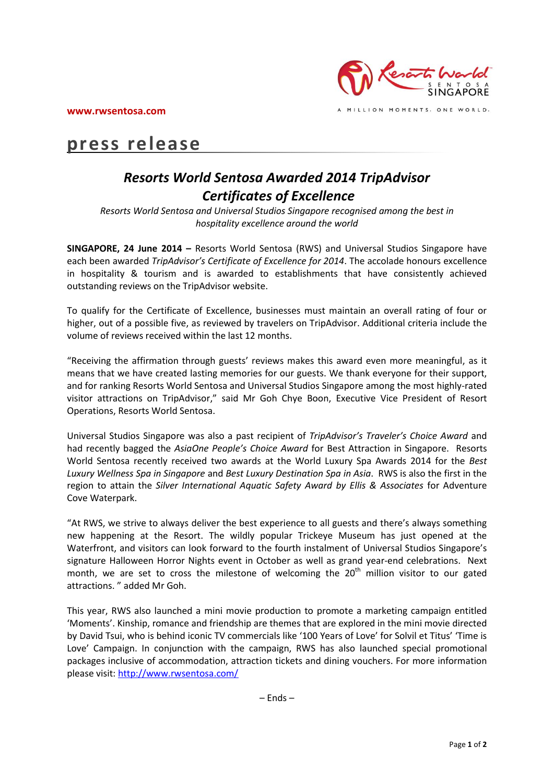**www.rwsentosa.com**



MILLION MOMENTS. ONE WORLD.

## **press release**

## *Resorts World Sentosa Awarded 2014 TripAdvisor Certificates of Excellence*

*Resorts World Sentosa and Universal Studios Singapore recognised among the best in hospitality excellence around the world* 

**SINGAPORE, 24 June 2014 –** Resorts World Sentosa (RWS) and Universal Studios Singapore have each been awarded *TripAdvisor's Certificate of Excellence for 2014*. The accolade honours excellence in hospitality & tourism and is awarded to establishments that have consistently achieved outstanding reviews on the TripAdvisor website.

To qualify for the Certificate of Excellence, businesses must maintain an overall rating of four or higher, out of a possible five, as reviewed by travelers on TripAdvisor. Additional criteria include the volume of reviews received within the last 12 months.

"Receiving the affirmation through guests' reviews makes this award even more meaningful, as it means that we have created lasting memories for our guests. We thank everyone for their support, and for ranking Resorts World Sentosa and Universal Studios Singapore among the most highly-rated visitor attractions on TripAdvisor," said Mr Goh Chye Boon, Executive Vice President of Resort Operations, Resorts World Sentosa.

Universal Studios Singapore was also a past recipient of *TripAdvisor's Traveler's Choice Award* and had recently bagged the *AsiaOne People's Choice Award* for Best Attraction in Singapore. Resorts World Sentosa recently received two awards at the World Luxury Spa Awards 2014 for the *Best Luxury Wellness Spa in Singapore* and *Best Luxury Destination Spa in Asia*. RWS is also the first in the region to attain the *Silver International Aquatic Safety Award by Ellis & Associates* for Adventure Cove Waterpark.

"At RWS, we strive to always deliver the best experience to all guests and there's always something new happening at the Resort. The wildly popular Trickeye Museum has just opened at the Waterfront, and visitors can look forward to the fourth instalment of Universal Studios Singapore's signature Halloween Horror Nights event in October as well as grand year-end celebrations. Next month, we are set to cross the milestone of welcoming the  $20<sup>th</sup>$  million visitor to our gated attractions. " added Mr Goh.

This year, RWS also launched a mini movie production to promote a marketing campaign entitled 'Moments'. Kinship, romance and friendship are themes that are explored in the mini movie directed by David Tsui, who is behind iconic TV commercials like '100 Years of Love' for Solvil et Titus' 'Time is Love' Campaign. In conjunction with the campaign, RWS has also launched special promotional packages inclusive of accommodation, attraction tickets and dining vouchers. For more information please visit[: http://www.rwsentosa.com/](http://www.rwsentosa.com/)

– Ends –